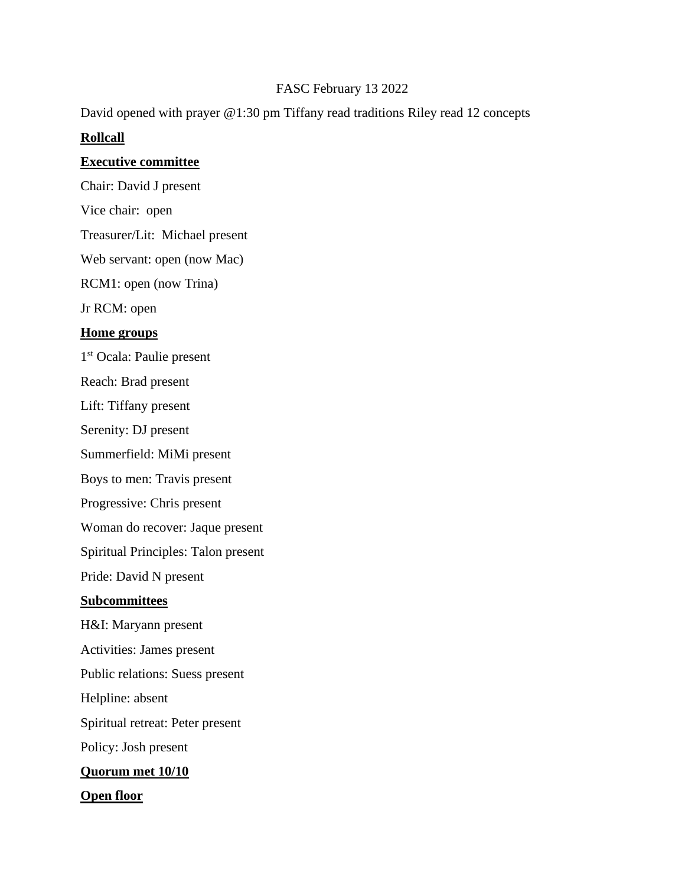## FASC February 13 2022

David opened with prayer @1:30 pm Tiffany read traditions Riley read 12 concepts

# **Rollcall**

### **Executive committee**

Chair: David J present

Vice chair: open

Treasurer/Lit: Michael present

Web servant: open (now Mac)

RCM1: open (now Trina)

Jr RCM: open

### **Home groups**

1<sup>st</sup> Ocala: Paulie present

Reach: Brad present

Lift: Tiffany present

Serenity: DJ present

Summerfield: MiMi present

Boys to men: Travis present

Progressive: Chris present

Woman do recover: Jaque present

Spiritual Principles: Talon present

Pride: David N present

#### **Subcommittees**

H&I: Maryann present

Activities: James present

Public relations: Suess present

Helpline: absent

Spiritual retreat: Peter present

Policy: Josh present

### **Quorum met 10/10**

**Open floor**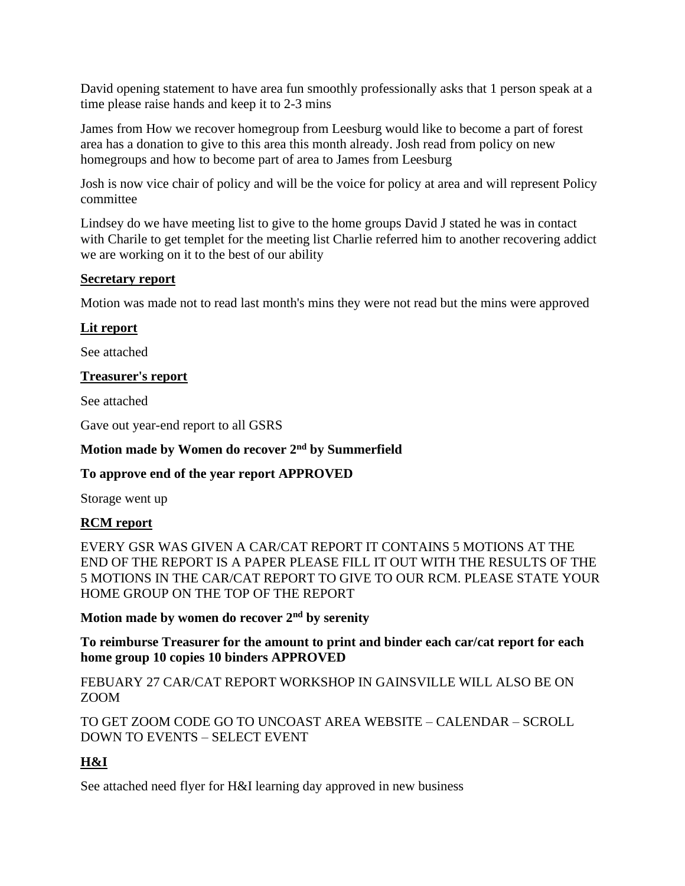David opening statement to have area fun smoothly professionally asks that 1 person speak at a time please raise hands and keep it to 2-3 mins

James from How we recover homegroup from Leesburg would like to become a part of forest area has a donation to give to this area this month already. Josh read from policy on new homegroups and how to become part of area to James from Leesburg

Josh is now vice chair of policy and will be the voice for policy at area and will represent Policy committee

Lindsey do we have meeting list to give to the home groups David J stated he was in contact with Charile to get templet for the meeting list Charlie referred him to another recovering addict we are working on it to the best of our ability

### **Secretary report**

Motion was made not to read last month's mins they were not read but the mins were approved

### **Lit report**

See attached

### **Treasurer's report**

See attached

Gave out year-end report to all GSRS

### **Motion made by Women do recover 2nd by Summerfield**

### **To approve end of the year report APPROVED**

Storage went up

### **RCM report**

EVERY GSR WAS GIVEN A CAR/CAT REPORT IT CONTAINS 5 MOTIONS AT THE END OF THE REPORT IS A PAPER PLEASE FILL IT OUT WITH THE RESULTS OF THE 5 MOTIONS IN THE CAR/CAT REPORT TO GIVE TO OUR RCM. PLEASE STATE YOUR HOME GROUP ON THE TOP OF THE REPORT

**Motion made by women do recover 2nd by serenity** 

**To reimburse Treasurer for the amount to print and binder each car/cat report for each home group 10 copies 10 binders APPROVED**

FEBUARY 27 CAR/CAT REPORT WORKSHOP IN GAINSVILLE WILL ALSO BE ON ZOOM

TO GET ZOOM CODE GO TO UNCOAST AREA WEBSITE – CALENDAR – SCROLL DOWN TO EVENTS – SELECT EVENT

# **H&I**

See attached need flyer for H&I learning day approved in new business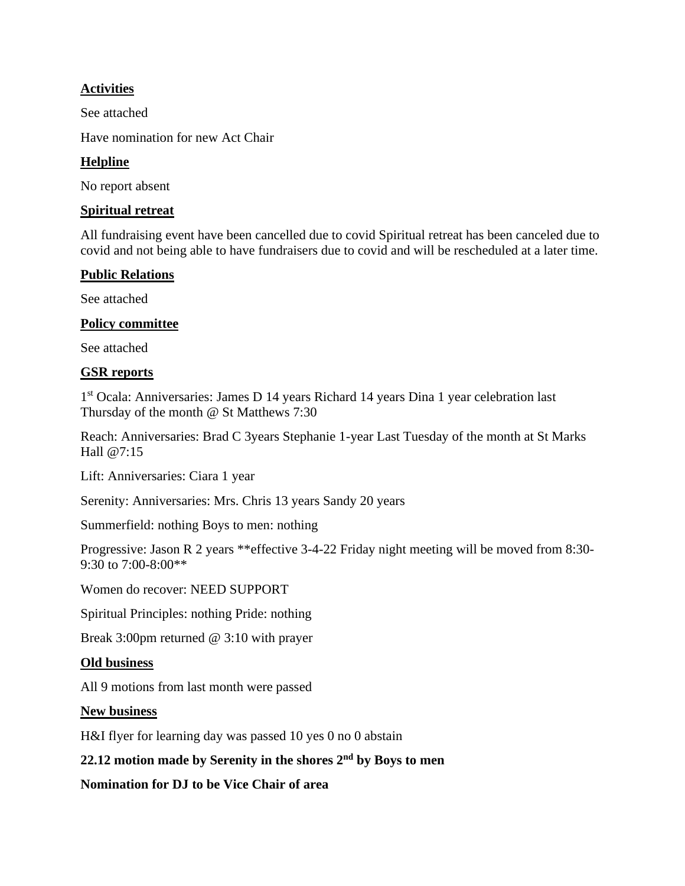## **Activities**

See attached

Have nomination for new Act Chair

## **Helpline**

No report absent

### **Spiritual retreat**

All fundraising event have been cancelled due to covid Spiritual retreat has been canceled due to covid and not being able to have fundraisers due to covid and will be rescheduled at a later time.

# **Public Relations**

See attached

# **Policy committee**

See attached

# **GSR reports**

1 st Ocala: Anniversaries: James D 14 years Richard 14 years Dina 1 year celebration last Thursday of the month @ St Matthews 7:30

Reach: Anniversaries: Brad C 3years Stephanie 1-year Last Tuesday of the month at St Marks Hall @7:15

Lift: Anniversaries: Ciara 1 year

Serenity: Anniversaries: Mrs. Chris 13 years Sandy 20 years

Summerfield: nothing Boys to men: nothing

Progressive: Jason R 2 years \*\*effective 3-4-22 Friday night meeting will be moved from 8:30- 9:30 to 7:00-8:00\*\*

Women do recover: NEED SUPPORT

Spiritual Principles: nothing Pride: nothing

Break 3:00pm returned @ 3:10 with prayer

### **Old business**

All 9 motions from last month were passed

### **New business**

H&I flyer for learning day was passed 10 yes 0 no 0 abstain

# **22.12 motion made by Serenity in the shores 2nd by Boys to men**

**Nomination for DJ to be Vice Chair of area**